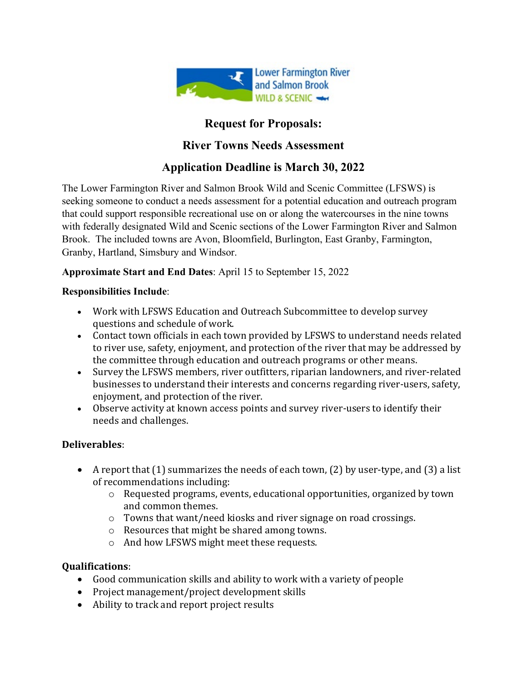

## **Request for Proposals:**

### **River Towns Needs Assessment**

# **Application Deadline is March 30, 2022**

The Lower Farmington River and Salmon Brook Wild and Scenic Committee (LFSWS) is seeking someone to conduct a needs assessment for a potential education and outreach program that could support responsible recreational use on or along the watercourses in the nine towns with federally designated Wild and Scenic sections of the Lower Farmington River and Salmon Brook. The included towns are Avon, Bloomfield, Burlington, East Granby, Farmington, Granby, Hartland, Simsbury and Windsor.

### **Approximate Start and End Dates**: April 15 to September 15, 2022

#### **Responsibilities Include**:

- Work with LFSWS Education and Outreach Subcommittee to develop survey questions and schedule of work.
- Contact town officials in each town provided by LFSWS to understand needs related to river use, safety, enjoyment, and protection of the river that may be addressed by the committee through education and outreach programs or other means.
- Survey the LFSWS members, river outfitters, riparian landowners, and river-related businesses to understand their interests and concerns regarding river-users, safety, enjoyment, and protection of the river.
- Observe activity at known access points and survey river-users to identify their needs and challenges.

### **Deliverables**:

- A report that (1) summarizes the needs of each town, (2) by user-type, and (3) a list of recommendations including:
	- $\circ$  Requested programs, events, educational opportunities, organized by town and common themes.
	- o Towns that want/need kiosks and river signage on road crossings.
	- o Resources that might be shared among towns.
	- o And how LFSWS might meet these requests.

### **Qualifications**:

- Good communication skills and ability to work with a variety of people
- Project management/project development skills
- Ability to track and report project results